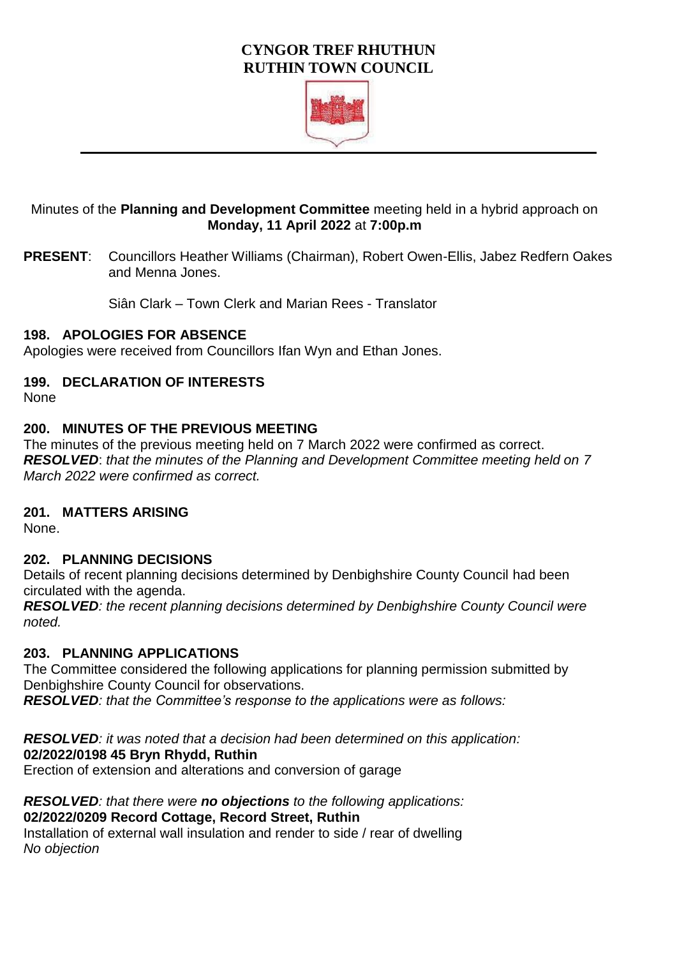# **CYNGOR TREF RHUTHUN RUTHIN TOWN COUNCIL**



# Minutes of the **Planning and Development Committee** meeting held in a hybrid approach on **Monday, 11 April 2022** at **7:00p.m**

**PRESENT**: Councillors Heather Williams (Chairman), Robert Owen-Ellis, Jabez Redfern Oakes and Menna Jones.

Siân Clark – Town Clerk and Marian Rees - Translator

### **198. APOLOGIES FOR ABSENCE**

Apologies were received from Councillors Ifan Wyn and Ethan Jones.

# **199. DECLARATION OF INTERESTS**

None

### **200. MINUTES OF THE PREVIOUS MEETING**

The minutes of the previous meeting held on 7 March 2022 were confirmed as correct. *RESOLVED*: *that the minutes of the Planning and Development Committee meeting held on 7 March 2022 were confirmed as correct.* 

# **201. MATTERS ARISING**

None.

# **202. PLANNING DECISIONS**

Details of recent planning decisions determined by Denbighshire County Council had been circulated with the agenda.

*RESOLVED: the recent planning decisions determined by Denbighshire County Council were noted.* 

# **203. PLANNING APPLICATIONS**

The Committee considered the following applications for planning permission submitted by Denbighshire County Council for observations.

*RESOLVED: that the Committee's response to the applications were as follows:* 

*RESOLVED: it was noted that a decision had been determined on this application:*  **02/2022/0198 45 Bryn Rhydd, Ruthin** Erection of extension and alterations and conversion of garage

*RESOLVED: that there were no objections to the following applications:* **02/2022/0209 Record Cottage, Record Street, Ruthin** Installation of external wall insulation and render to side / rear of dwelling *No objection*